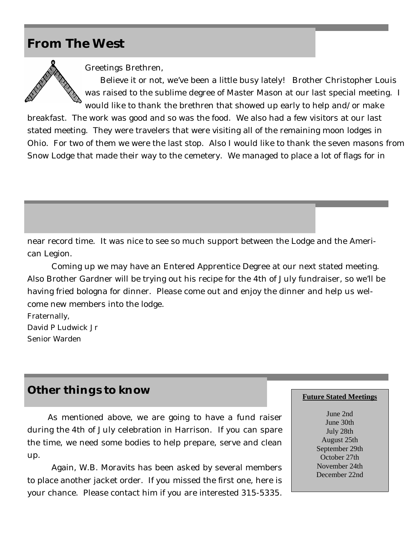## **From The West**



Greetings Brethren,

Believe it or not, we've been a little busy lately! Brother Christopher Louis was raised to the sublime degree of Master Mason at our last special meeting. I would like to thank the brethren that showed up early to help and/or make

breakfast. The work was good and so was the food. We also had a few visitors at our last stated meeting. They were travelers that were visiting all of the remaining moon lodges in Ohio. For two of them we were the last stop. Also I would like to thank the seven masons from Snow Lodge that made their way to the cemetery. We managed to place a lot of flags for in

near record time. It was nice to see so much support between the Lodge and the American Legion.

Coming up we may have an Entered Apprentice Degree at our next stated meeting. Also Brother Gardner will be trying out his recipe for the 4th of July fundraiser, so we'll be having fried bologna for dinner. Please come out and enjoy the dinner and help us welcome new members into the lodge.

Fraternally, David P Ludwick Jr Senior Warden

## **Other things to know**

 As mentioned above, we are going to have a fund raiser during the 4th of July celebration in Harrison. If you can spare the time, we need some bodies to help prepare, serve and clean up.

Again, W.B. Moravits has been asked by several members to place another jacket order. If you missed the first one, here is your chance. Please contact him if you are interested 315-5335.

## **Future Stated Meetings**

June 2nd June 30th July 28th August 25th September 29th October 27th November 24th December 22nd